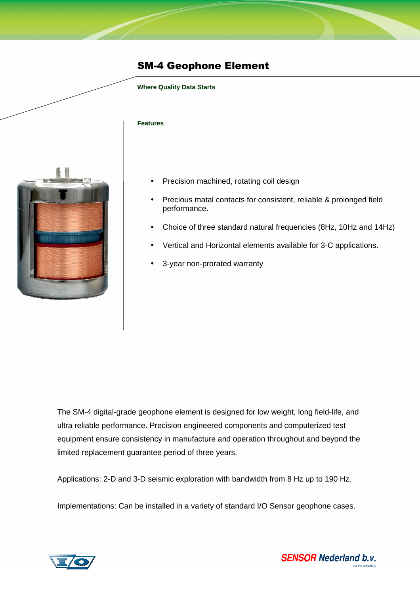## SM-4 Geophone Element

### **Where Quality Data Starts**

#### **Features**



- Precision machined, rotating coil design
- Precious matal contacts for consistent, reliable & prolonged field performance.
- Choice of three standard natural frequencies (8Hz, 10Hz and 14Hz)
- Vertical and Horizontal elements available for 3-C applications.
- 3-year non-prorated warranty

The SM-4 digital-grade geophone element is designed for low weight, long field-life, and ultra reliable performance. Precision engineered components and computerized test equipment ensure consistency in manufacture and operation throughout and beyond the limited replacement guarantee period of three years.

Applications: 2-D and 3-D seismic exploration with bandwidth from 8 Hz up to 190 Hz.

Implementations: Can be installed in a variety of standard I/O Sensor geophone cases.



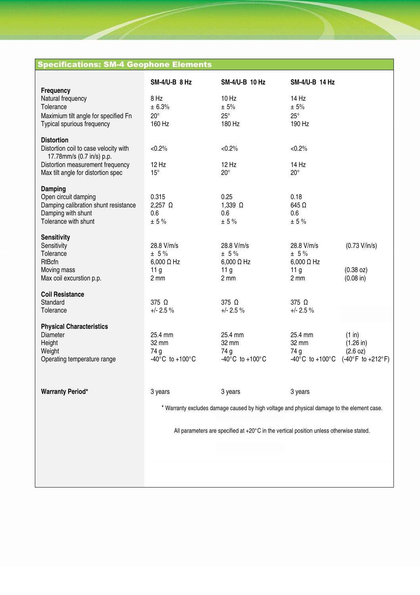# Specifications: SM-4 Geophone Elements

| Frequency                                                                                           | <b>SM-4/U-B 8 Hz</b>                                                                       | SM-4/U-B 10 Hz                        | <b>SM-4/U-B 14 Hz</b>                 |                                   |
|-----------------------------------------------------------------------------------------------------|--------------------------------------------------------------------------------------------|---------------------------------------|---------------------------------------|-----------------------------------|
| Natural frequency<br>Tolerance                                                                      | 8 Hz<br>± 6.3%                                                                             | 10 Hz<br>± 5%                         | 14 Hz<br>± 5%                         |                                   |
| Maximium tilt angle for specified Fn<br>Typical spurious frequency                                  | $20^{\circ}$<br>160 Hz                                                                     | $25^{\circ}$<br>180 Hz                | $25^\circ$<br>190 Hz                  |                                   |
| <b>Distortion</b><br>Distortion coil to case velocity with                                          | $< 0.2\%$                                                                                  | $< 0.2\%$                             | $< 0.2\%$                             |                                   |
| 17.78mm/s (0.7 in/s) p.p.<br>Distortion measurement frequency<br>Max tilt angle for distortion spec | 12 Hz<br>$15^{\circ}$                                                                      | 12 Hz<br>$20^{\circ}$                 | 14 Hz<br>$20^{\circ}$                 |                                   |
| <b>Damping</b>                                                                                      |                                                                                            |                                       |                                       |                                   |
| Open circuit damping<br>Damping calibration shunt resistance                                        | 0.315<br>2,257 $\Omega$                                                                    | 0.25<br>1,339 $\Omega$                | 0.18<br>645 $\Omega$                  |                                   |
| Damping with shunt<br>Tolerance with shunt                                                          | 0.6<br>± 5%                                                                                | 0.6<br>± 5%                           | 0.6<br>$\pm$ 5 %                      |                                   |
| <b>Sensitivity</b><br>Sensitivity                                                                   | 28.8 V/m/s                                                                                 | 28.8 V/m/s                            | 28.8 V/m/s                            | (0.73 V/in/s)                     |
| Tolerance<br><b>RtBcfn</b>                                                                          | $± 5\%$<br>$6,000 \Omega$ Hz                                                               | $± 5\%$<br>$6,000 \Omega$ Hz          | $± 5\%$<br>$6,000 \Omega$ Hz          |                                   |
| Moving mass<br>Max coil excurstion p.p.                                                             | 11 <sub>g</sub><br>$2 \, \text{mm}$                                                        | 11 <sub>g</sub><br>$2 \, \text{mm}$   | 11 <sub>g</sub><br>2 mm               | (0.38 oz)<br>$(0.08 \text{ in})$  |
| <b>Coil Resistance</b><br>Standard                                                                  | 375 Ω                                                                                      | 375 Ω                                 | 375 Ω                                 |                                   |
| Tolerance                                                                                           | $+/- 2.5 \%$                                                                               | $+/- 2.5 \%$                          | $+/- 2.5 \%$                          |                                   |
| <b>Physical Characteristics</b><br><b>Diameter</b>                                                  | 25.4 mm                                                                                    | 25.4 mm                               | 25.4 mm                               | (1 in)                            |
| Height<br>Weight                                                                                    | 32 mm<br>74 g                                                                              | 32 mm<br>74 g                         | 32 mm<br>74 g                         | $(1.26 \text{ in})$<br>(2.6 oz)   |
| Operating temperature range                                                                         | -40 $^{\circ}$ C to +100 $^{\circ}$ C                                                      | -40 $^{\circ}$ C to +100 $^{\circ}$ C | -40 $^{\circ}$ C to +100 $^{\circ}$ C | $(-40^{\circ}F to +212^{\circ}F)$ |
| <b>Warranty Period*</b>                                                                             | 3 years                                                                                    | 3 years                               | 3 years                               |                                   |
|                                                                                                     | * Warranty excludes damage caused by high voltage and physical damage to the element case. |                                       |                                       |                                   |
|                                                                                                     | All parameters are specified at +20°C in the vertical position unless otherwise stated.    |                                       |                                       |                                   |
|                                                                                                     |                                                                                            |                                       |                                       |                                   |
|                                                                                                     |                                                                                            |                                       |                                       |                                   |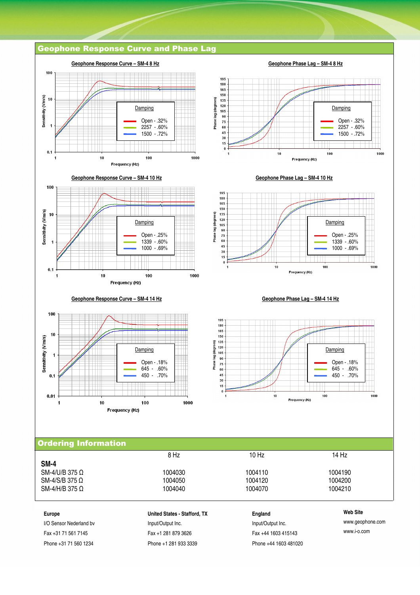## Geophone Response Curve and Phase Lag



| Web Site        |
|-----------------|
| www.geophone.co |
|                 |

Europe **Europe Europe Europe Europe England United States - Stafford, TX England England** I/O Sensor Nederland bv **Input/Output Inc.** Input/Output Inc. **Input/Output Inc.** Nederland bv www.geophone.com Fax +31 71 561 7145 Fax +1 281 879 3626 Fax +44 1603 415143 www.i-o.com

 $SM-4/S/B 375 Ω$ <br> $SM-4/H/B 375 Ω$ <br> $1004040$ <br> $1004070$ 

 $\mathsf{SM}\text{-}4/\mathsf{U}/\mathsf{B}$  375 Ω 1004030 1004030 1004110 1004190 1004190<br> $\mathsf{SM}\text{-}4/\mathsf{S}/\mathsf{B}$  375 Ω 1004050 1004050 1004120

SM-4/H/B 375 Ω 1004040 1004040 1004070 1004210

Phone +31 71 560 1234 Phone +1 281 933 3339 Phone +44 1603 481020

1000

1000

1000